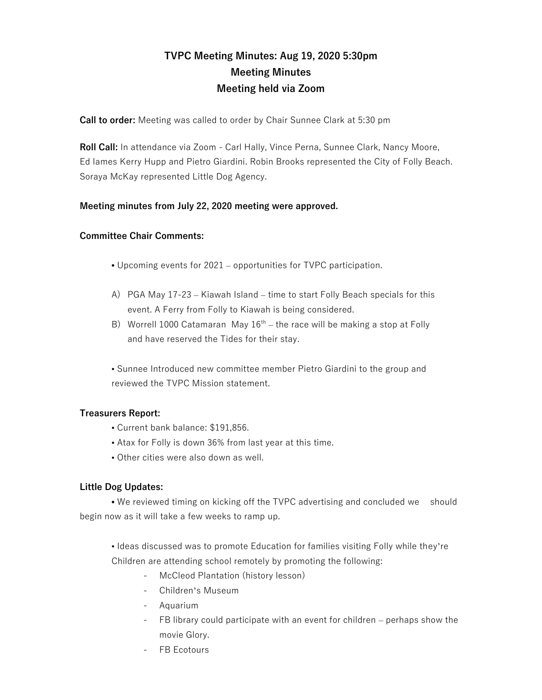# **TVPC Meeting Minutes: Aug 19, 2020 5:30pm Meeting Minutes Meeting held via Zoom**

**Call to order:** Meeting was called to order by Chair Sunnee Clark at 5:30 pm

**Roll Call:** In attendance via Zoom - Carl Hally, Vince Perna, Sunnee Clark, Nancy Moore, Ed Iames Kerry Hupp and Pietro Giardini. Robin Brooks represented the City of Folly Beach. Soraya McKay represented Little Dog Agency.

## **Meeting minutes from July 22, 2020 meeting were approved.**

#### **Committee Chair Comments:**

- **•** Upcoming events for 2021 opportunities for TVPC participation.
- A) PGA May 17-23 Kiawah Island time to start Folly Beach specials for this event. A Ferry from Folly to Kiawah is being considered.
- B) Worrell 1000 Catamaran May  $16<sup>th</sup>$  the race will be making a stop at Folly and have reserved the Tides for their stay.

• Sunnee Introduced new committee member Pietro Giardini to the group and reviewed the TVPC Mission statement.

#### **Treasurers Report:**

- Current bank balance: \$191,856.
- Atax for Folly is down 36% from last year at this time.
- Other cities were also down as well.

## **Little Dog Updates:**

**•** We reviewed timing on kicking off the TVPC advertising and concluded we should begin now as it will take a few weeks to ramp up.

• Ideas discussed was to promote Education for families visiting Folly while they're Children are attending school remotely by promoting the following:

- McCleod Plantation (history lesson)
- Children's Museum
- Aquarium
- FB library could participate with an event for children perhaps show the movie Glory.
- **FB** Ecotours